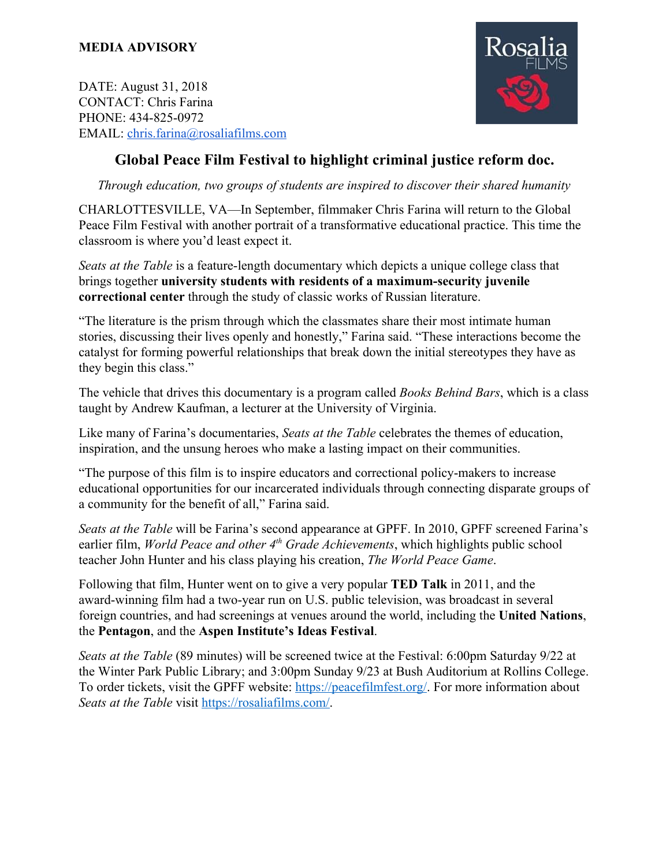DATE: August 31, 2018 CONTACT: Chris Farina PHONE: 434-825-0972 EMAIL: [chris.farina@rosaliafilms.com](mailto:chris.farina@rosaliafilms.com)



## **Global Peace Film Festival to highlight criminal justice reform doc.**

*Through education, two groups of students are inspired to discover their shared humanity*

CHARLOTTESVILLE, VA—In September, filmmaker Chris Farina will return to the Global Peace Film Festival with another portrait of a transformative educational practice. This time the classroom is where you'd least expect it.

*Seats at the Table* is a feature-length documentary which depicts a unique college class that brings together **university students with residents of a maximum-security juvenile correctional center** through the study of classic works of Russian literature.

"The literature is the prism through which the classmates share their most intimate human stories, discussing their lives openly and honestly," Farina said. "These interactions become the catalyst for forming powerful relationships that break down the initial stereotypes they have as they begin this class."

The vehicle that drives this documentary is a program called *Books Behind Bars*, which is a class taught by Andrew Kaufman, a lecturer at the University of Virginia.

Like many of Farina's documentaries, *Seats at the Table* celebrates the themes of education, inspiration, and the unsung heroes who make a lasting impact on their communities.

"The purpose of this film is to inspire educators and correctional policy-makers to increase educational opportunities for our incarcerated individuals through connecting disparate groups of a community for the benefit of all," Farina said.

*Seats at the Table* will be Farina's second appearance at GPFF. In 2010, GPFF screened Farina's earlier film, *World Peace and other 4<sup>th</sup> Grade Achievements*, which highlights public school teacher John Hunter and his class playing his creation, *The World Peace Game*.

Following that film, Hunter went on to give a very popular **TED Talk** in 2011, and the award-winning film had a two-year run on U.S. public television, was broadcast in several foreign countries, and had screenings at venues around the world, including the **United Nations**, the **Pentagon**, and the **Aspen Institute's Ideas Festival**.

*Seats at the Table* (89 minutes) will be screened twice at the Festival: 6:00pm Saturday 9/22 at the Winter Park Public Library; and 3:00pm Sunday 9/23 at Bush Auditorium at Rollins College. To order tickets, visit the GPFF website: <https://peacefilmfest.org/>. For more information about *Seats at the Table* visit [https://rosaliafilms.com/.](https://rosaliafilms.com/)